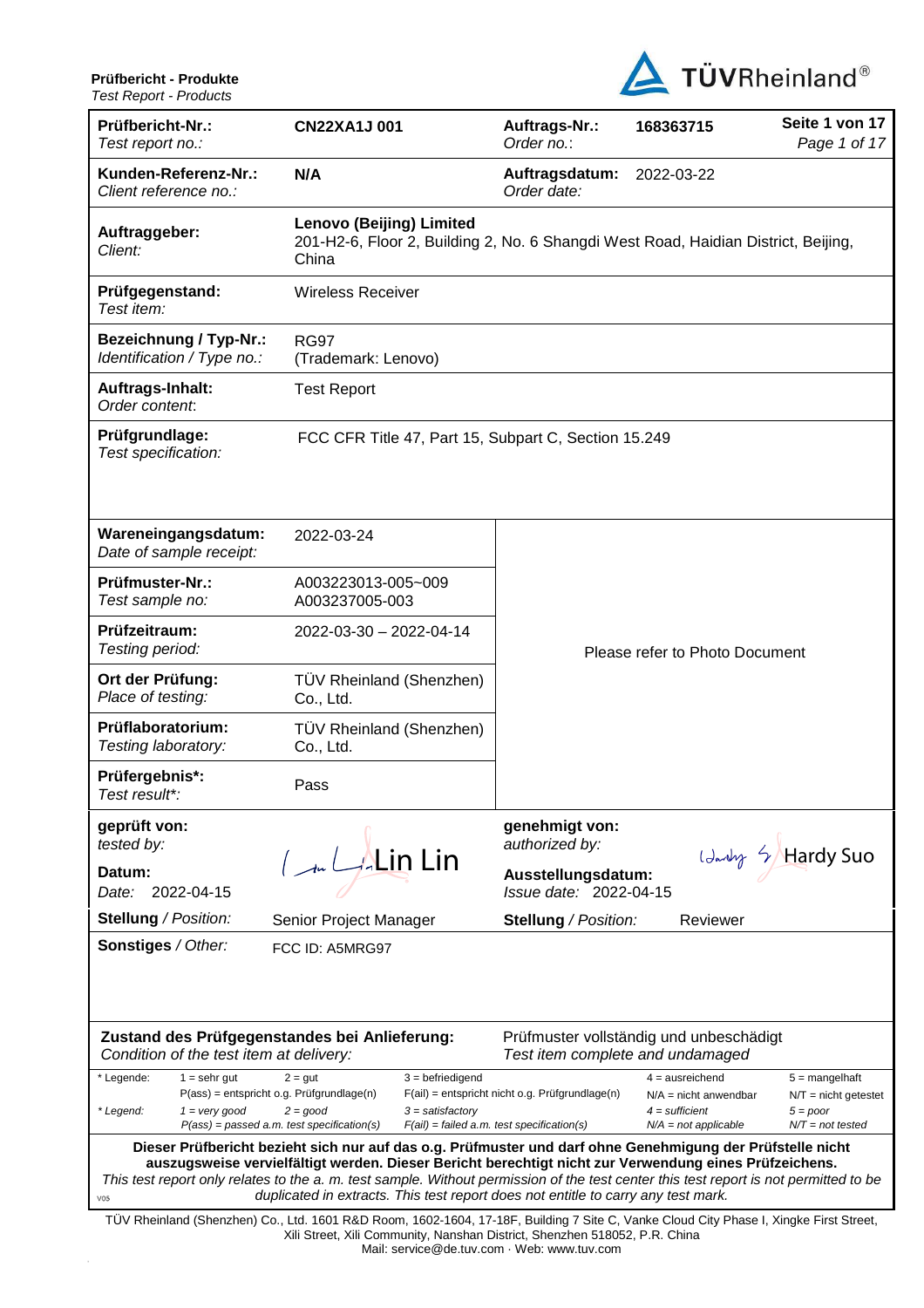

| , Got , NGOU ( - ) , TOUUGO                                                                                                                                                                                                                                                                                                                                                                                                                                           |                                                                                                                                                                   |                                                                                                 |                                                                                            |                                                                                |
|-----------------------------------------------------------------------------------------------------------------------------------------------------------------------------------------------------------------------------------------------------------------------------------------------------------------------------------------------------------------------------------------------------------------------------------------------------------------------|-------------------------------------------------------------------------------------------------------------------------------------------------------------------|-------------------------------------------------------------------------------------------------|--------------------------------------------------------------------------------------------|--------------------------------------------------------------------------------|
| Prüfbericht-Nr.:<br>Test report no.:                                                                                                                                                                                                                                                                                                                                                                                                                                  | <b>CN22XA1J001</b>                                                                                                                                                | Auftrags-Nr.:<br>Order no.:                                                                     | 168363715                                                                                  | Seite 1 von 17<br>Page 1 of 17                                                 |
| Kunden-Referenz-Nr.:<br>Client reference no.:                                                                                                                                                                                                                                                                                                                                                                                                                         | N/A                                                                                                                                                               | Auftragsdatum:<br>Order date:                                                                   | 2022-03-22                                                                                 |                                                                                |
| Auftraggeber:<br>Client:                                                                                                                                                                                                                                                                                                                                                                                                                                              | Lenovo (Beijing) Limited<br>201-H2-6, Floor 2, Building 2, No. 6 Shangdi West Road, Haidian District, Beijing,<br>China                                           |                                                                                                 |                                                                                            |                                                                                |
| Prüfgegenstand:<br>Test item:                                                                                                                                                                                                                                                                                                                                                                                                                                         | <b>Wireless Receiver</b>                                                                                                                                          |                                                                                                 |                                                                                            |                                                                                |
| <b>Bezeichnung / Typ-Nr.:</b><br>Identification / Type no.:                                                                                                                                                                                                                                                                                                                                                                                                           | <b>RG97</b><br>(Trademark: Lenovo)                                                                                                                                |                                                                                                 |                                                                                            |                                                                                |
| Auftrags-Inhalt:<br>Order content:                                                                                                                                                                                                                                                                                                                                                                                                                                    | <b>Test Report</b>                                                                                                                                                |                                                                                                 |                                                                                            |                                                                                |
| Prüfgrundlage:<br>Test specification:                                                                                                                                                                                                                                                                                                                                                                                                                                 | FCC CFR Title 47, Part 15, Subpart C, Section 15.249                                                                                                              |                                                                                                 |                                                                                            |                                                                                |
| Wareneingangsdatum:<br>Date of sample receipt:                                                                                                                                                                                                                                                                                                                                                                                                                        | 2022-03-24                                                                                                                                                        |                                                                                                 |                                                                                            |                                                                                |
| Prüfmuster-Nr.:<br>Test sample no:                                                                                                                                                                                                                                                                                                                                                                                                                                    | A003223013-005~009<br>A003237005-003                                                                                                                              |                                                                                                 |                                                                                            |                                                                                |
| Prüfzeitraum:<br>Testing period:                                                                                                                                                                                                                                                                                                                                                                                                                                      | 2022-03-30 - 2022-04-14                                                                                                                                           |                                                                                                 | Please refer to Photo Document                                                             |                                                                                |
| Ort der Prüfung:<br>Place of testing:                                                                                                                                                                                                                                                                                                                                                                                                                                 | TÜV Rheinland (Shenzhen)<br>Co., Ltd.                                                                                                                             |                                                                                                 |                                                                                            |                                                                                |
| Prüflaboratorium:<br>Testing laboratory:                                                                                                                                                                                                                                                                                                                                                                                                                              | TÜV Rheinland (Shenzhen)<br>Co., Ltd.                                                                                                                             |                                                                                                 |                                                                                            |                                                                                |
| Prüfergebnis*:<br>Test result*:                                                                                                                                                                                                                                                                                                                                                                                                                                       | Pass                                                                                                                                                              |                                                                                                 |                                                                                            |                                                                                |
| geprüft von:<br>tested by:                                                                                                                                                                                                                                                                                                                                                                                                                                            |                                                                                                                                                                   | genehmigt von:<br>authorized by:                                                                |                                                                                            |                                                                                |
| Datum:<br>2022-04-15<br>Date:                                                                                                                                                                                                                                                                                                                                                                                                                                         | $\int_{-\infty}^{\infty} L_{\mathcal{A}}$ Lin Lin                                                                                                                 | Ausstellungsdatum:<br>Issue date: 2022-04-15                                                    |                                                                                            | Landry & Hardy Suo                                                             |
| <b>Stellung / Position:</b>                                                                                                                                                                                                                                                                                                                                                                                                                                           | Senior Project Manager                                                                                                                                            | <b>Stellung / Position:</b>                                                                     | Reviewer                                                                                   |                                                                                |
| <b>Sonstiges / Other:</b>                                                                                                                                                                                                                                                                                                                                                                                                                                             | FCC ID: A5MRG97                                                                                                                                                   |                                                                                                 |                                                                                            |                                                                                |
| Condition of the test item at delivery:                                                                                                                                                                                                                                                                                                                                                                                                                               | Zustand des Prüfgegenstandes bei Anlieferung:                                                                                                                     | Test item complete and undamaged                                                                | Prüfmuster vollständig und unbeschädigt                                                    |                                                                                |
| * Legende:<br>$1 =$ sehr gut<br>* Legend:<br>$1 = \text{very good}$                                                                                                                                                                                                                                                                                                                                                                                                   | $3 = \text{before}$<br>$2 = gut$<br>P(ass) = entspricht o.g. Prüfgrundlage(n)<br>$2 = good$<br>$3 =$ satisfactory<br>$P(ass) = passed a.m. test specification(s)$ | $F(ai)$ = entspricht nicht o.g. Prüfgrundlage(n)<br>$F(ai) = failed a.m. test specification(s)$ | $4 =$ ausreichend<br>$N/A$ = nicht anwendbar<br>$4 =$ sufficient<br>$N/A = not$ applicable | $5 =$ mangelhaft<br>$N/T =$ nicht getestet<br>$5 = poor$<br>$N/T = not tested$ |
| Dieser Prüfbericht bezieht sich nur auf das o.g. Prüfmuster und darf ohne Genehmigung der Prüfstelle nicht<br>auszugsweise vervielfältigt werden. Dieser Bericht berechtigt nicht zur Verwendung eines Prüfzeichens.<br>This test report only relates to the a. m. test sample. Without permission of the test center this test report is not permitted to be<br>duplicated in extracts. This test report does not entitle to carry any test mark.<br>V <sub>05</sub> |                                                                                                                                                                   |                                                                                                 |                                                                                            |                                                                                |
| TÜV Rheinland (Shenzhen) Co., Ltd. 1601 R&D Room, 1602-1604, 17-18F, Building 7 Site C, Vanke Cloud City Phase I, Xingke First Street,<br>Xili Street, Xili Community, Nanshan District, Shenzhen 518052, P.R. China<br>Mail: service@de.tuv.com · Web: www.tuv.com                                                                                                                                                                                                   |                                                                                                                                                                   |                                                                                                 |                                                                                            |                                                                                |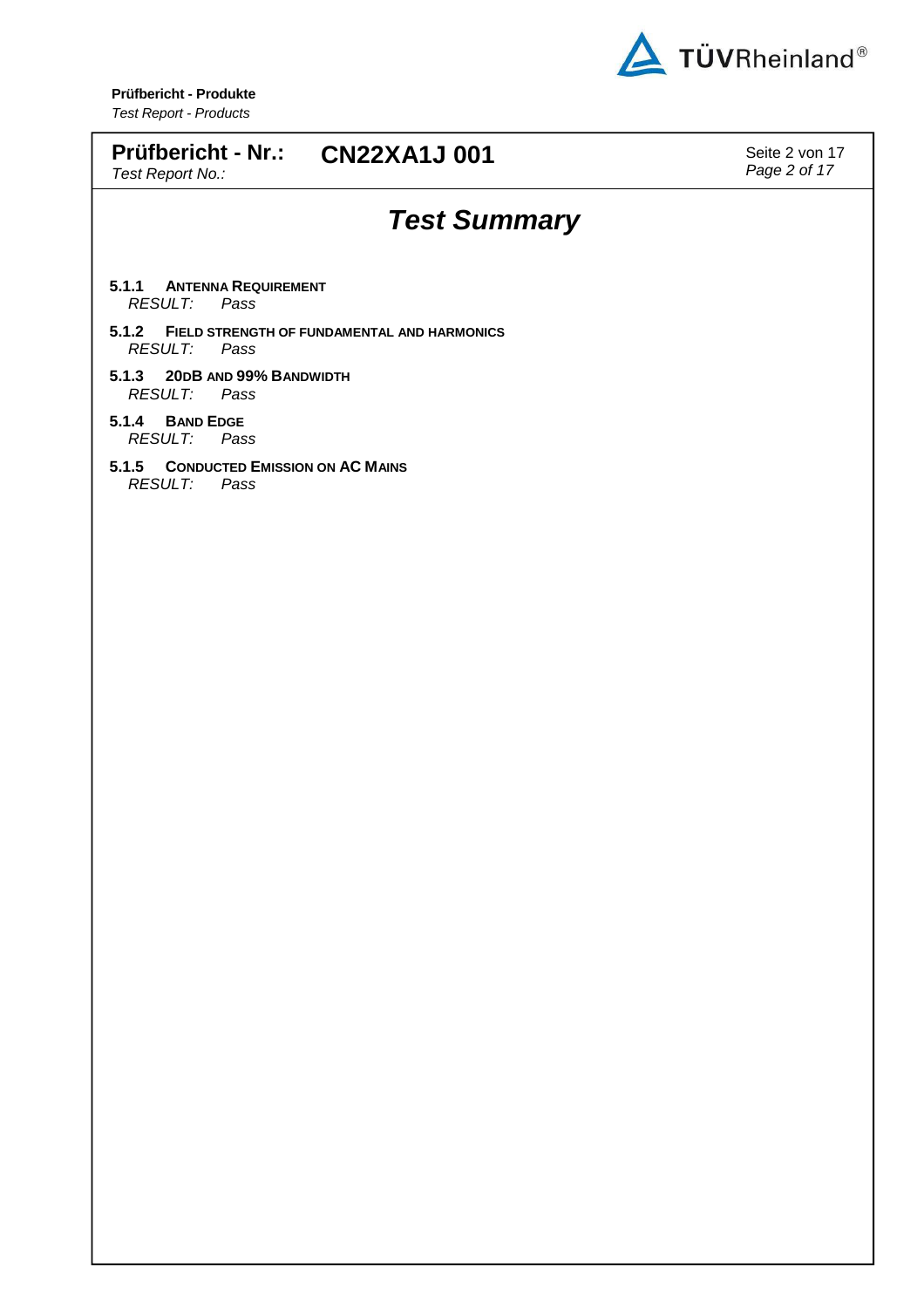

| Prüfbericht - Produkte<br><b>Test Report - Products</b>                     |                                |
|-----------------------------------------------------------------------------|--------------------------------|
| Prüfbericht - Nr.: CN22XA1J 001<br>Test Report No.:                         | Seite 2 von 17<br>Page 2 of 17 |
| <b>Test Summary</b>                                                         |                                |
| 5.1.1<br><b>ANTENNA REQUIREMENT</b><br><b>RESULT:</b><br>Pass               |                                |
| 5.1.2 FIELD STRENGTH OF FUNDAMENTAL AND HARMONICS<br><b>RESULT:</b><br>Pass |                                |
| 5.1.3<br>20DB AND 99% BANDWIDTH<br><b>RESULT:</b><br>Pass                   |                                |
| 5.1.4<br><b>BAND EDGE</b><br><b>RESULT:</b><br>Pass                         |                                |
| <b>CONDUCTED EMISSION ON AC MAINS</b><br>5.1.5<br><b>RESULT:</b><br>Pass    |                                |
|                                                                             |                                |
|                                                                             |                                |
|                                                                             |                                |
|                                                                             |                                |
|                                                                             |                                |
|                                                                             |                                |
|                                                                             |                                |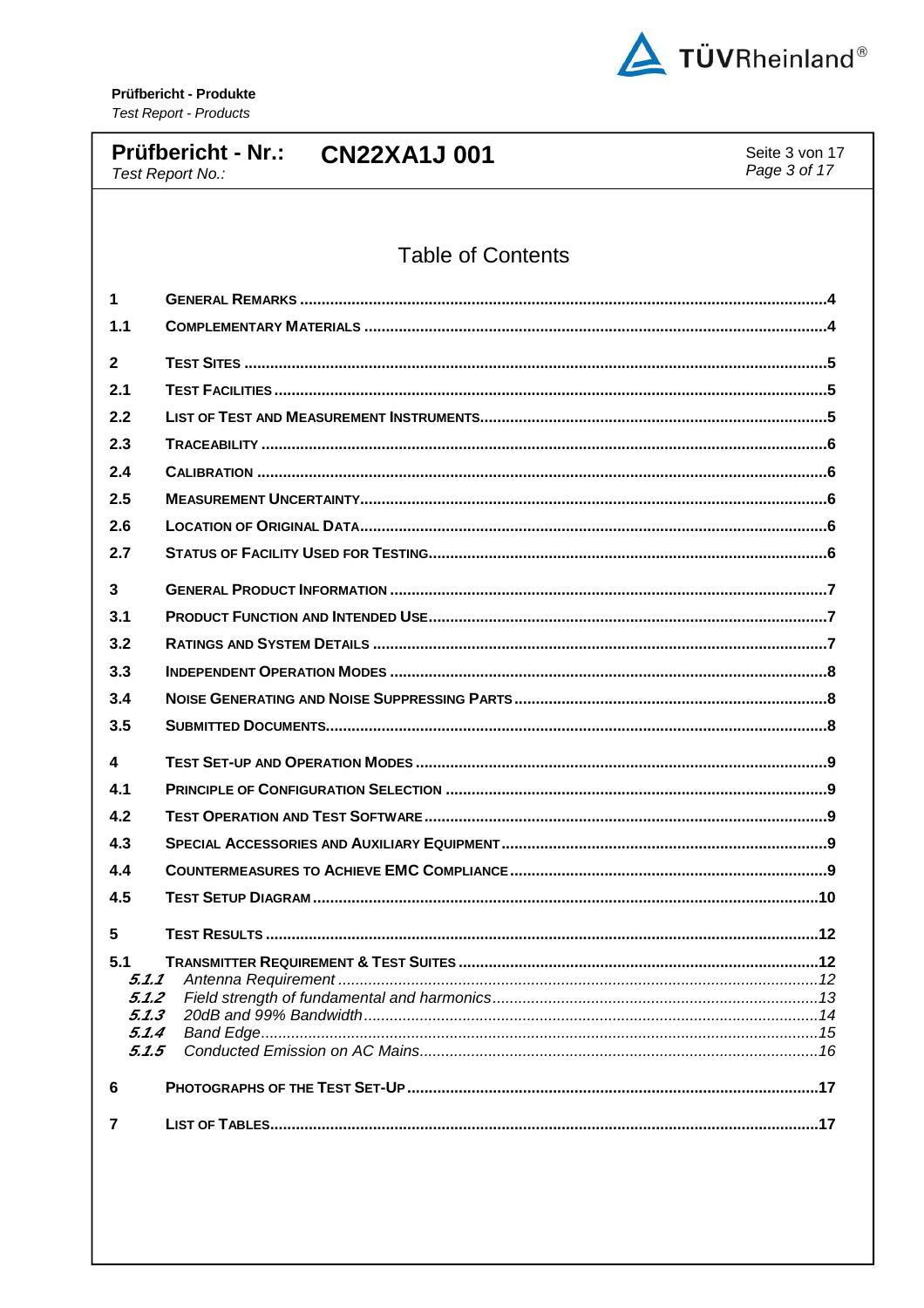

#### **Prüfbericht - Nr.: CN22XA1J001** Seite 3 von 17 Page 3 of 17 Test Report No.: **Table of Contents**  $\mathbf{1}$  $1.1$  $\overline{2}$  $21$  $2.2$  $2.3$  $2.4$  $2.5$  $2.6$  $2.7$  $\mathbf{R}$  $3.1$  $3.2$  $3.3$  $3.4$  $3.5$  $\lambda$  $4.1$  $4.2$  $4.3$  $4.4$  $4.5$ 5 **TEST RESULTS** 12  $5.1$  $5.1.1$  $5.1.2$  $5.1.3$  $511$  $5.1.5$ 6 **PHOTOGRAPHS OF THE TEST SET-UP**  $\overline{7}$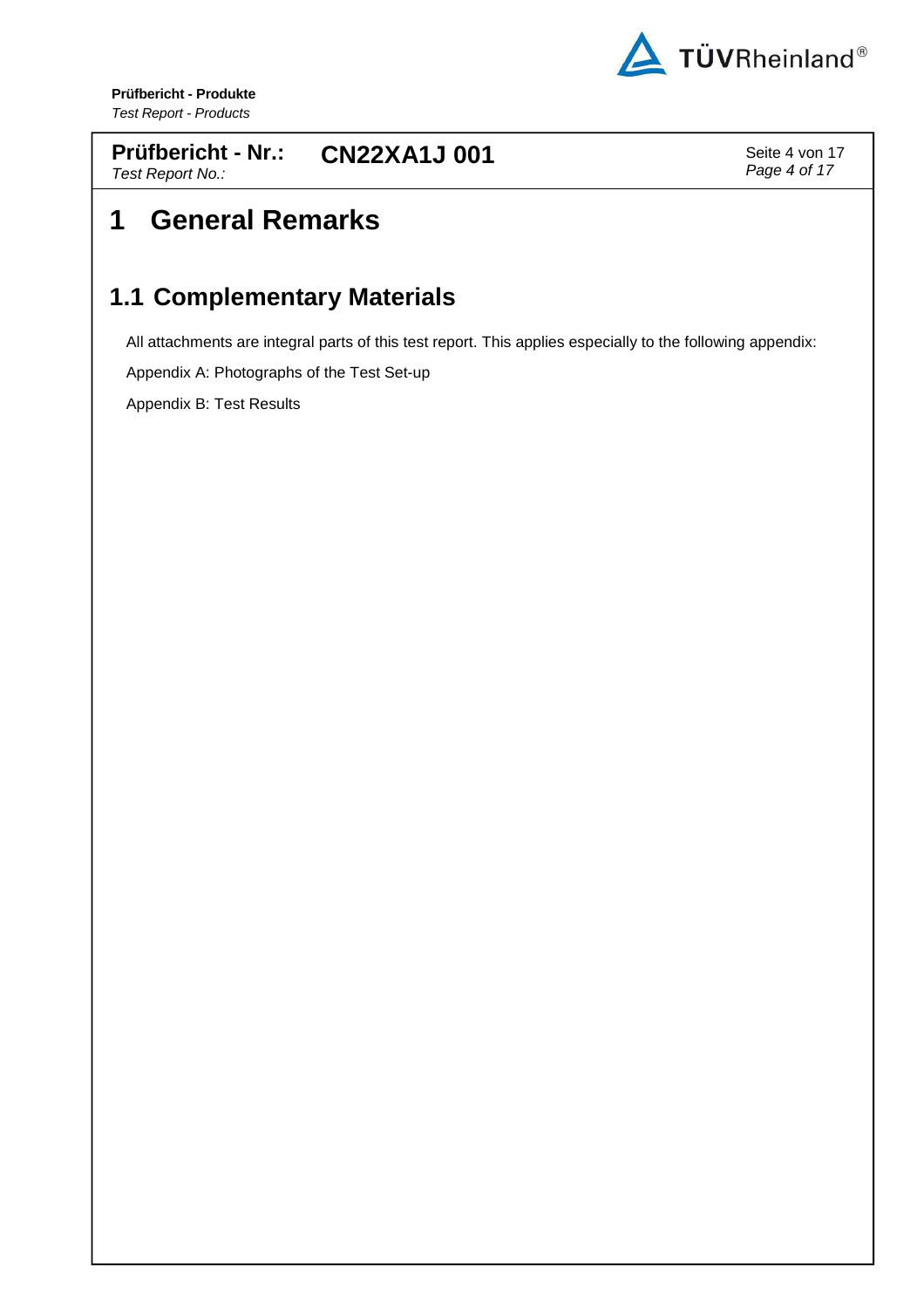

**Prüfbericht - Nr.:** Test Report No.: **CN22XA1J 001** Seite 4 von 17

Page 4 of 17

# **1 General Remarks**

#### **1.1 Complementary Materials**

All attachments are integral parts of this test report. This applies especially to the following appendix:

Appendix A: Photographs of the Test Set-up

Appendix B: Test Results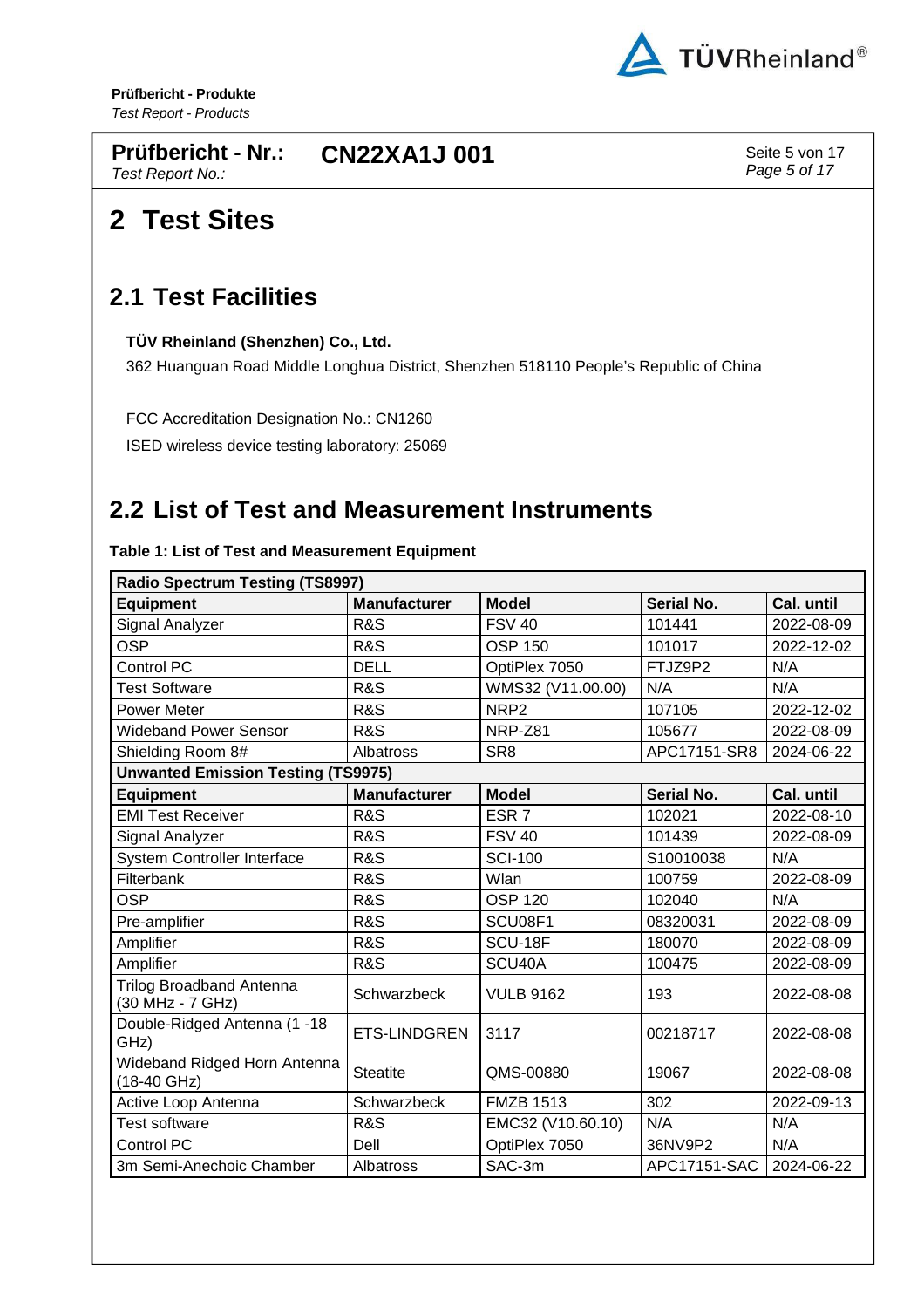

**Prüfbericht - Nr.:** Test Report No.: **CN22XA1J 001** Seite 5 von 17

Page 5 of 17

# **2 Test Sites**

#### **2.1 Test Facilities**

**TÜV Rheinland (Shenzhen) Co., Ltd.** 

362 Huanguan Road Middle Longhua District, Shenzhen 518110 People's Republic of China

FCC Accreditation Designation No.: CN1260

ISED wireless device testing laboratory: 25069

#### **2.2 List of Test and Measurement Instruments**

**Table 1: List of Test and Measurement Equipment** 

| <b>Radio Spectrum Testing (TS8997)</b>              |                     |                   |                   |            |  |
|-----------------------------------------------------|---------------------|-------------------|-------------------|------------|--|
| <b>Equipment</b>                                    | <b>Manufacturer</b> | <b>Model</b>      | Serial No.        | Cal. until |  |
| Signal Analyzer                                     | <b>R&amp;S</b>      | <b>FSV 40</b>     | 101441            | 2022-08-09 |  |
| <b>OSP</b>                                          | R&S                 | <b>OSP 150</b>    | 101017            | 2022-12-02 |  |
| Control PC                                          | <b>DELL</b>         | OptiPlex 7050     | FTJZ9P2           | N/A        |  |
| <b>Test Software</b>                                | R&S                 | WMS32 (V11.00.00) | N/A               | N/A        |  |
| Power Meter                                         | R&S                 | NRP <sub>2</sub>  | 107105            | 2022-12-02 |  |
| <b>Wideband Power Sensor</b>                        | <b>R&amp;S</b>      | NRP-Z81           | 105677            | 2022-08-09 |  |
| Shielding Room 8#                                   | Albatross           | SR <sub>8</sub>   | APC17151-SR8      | 2024-06-22 |  |
| <b>Unwanted Emission Testing (TS9975)</b>           |                     |                   |                   |            |  |
| <b>Equipment</b>                                    | <b>Manufacturer</b> | <b>Model</b>      | <b>Serial No.</b> | Cal. until |  |
| <b>EMI Test Receiver</b>                            | <b>R&amp;S</b>      | ESR <sub>7</sub>  | 102021            | 2022-08-10 |  |
| Signal Analyzer                                     | R&S                 | <b>FSV 40</b>     | 101439            | 2022-08-09 |  |
| <b>System Controller Interface</b>                  | <b>R&amp;S</b>      | <b>SCI-100</b>    | S10010038         | N/A        |  |
| Filterbank                                          | <b>R&amp;S</b>      | Wlan              | 100759            | 2022-08-09 |  |
| <b>OSP</b>                                          | R&S                 | <b>OSP 120</b>    | 102040            | N/A        |  |
| Pre-amplifier                                       | <b>R&amp;S</b>      | SCU08F1           | 08320031          | 2022-08-09 |  |
| Amplifier                                           | R&S                 | SCU-18F           | 180070            | 2022-08-09 |  |
| Amplifier                                           | <b>R&amp;S</b>      | SCU40A            | 100475            | 2022-08-09 |  |
| <b>Trilog Broadband Antenna</b><br>(30 MHz - 7 GHz) | Schwarzbeck         | <b>VULB 9162</b>  | 193               | 2022-08-08 |  |
| Double-Ridged Antenna (1 -18<br>GHz)                | <b>ETS-LINDGREN</b> | 3117              | 00218717          | 2022-08-08 |  |
| Wideband Ridged Horn Antenna<br>(18-40 GHz)         | <b>Steatite</b>     | QMS-00880         | 19067             | 2022-08-08 |  |
| Active Loop Antenna                                 | Schwarzbeck         | <b>FMZB 1513</b>  | 302               | 2022-09-13 |  |
| <b>Test software</b>                                | R&S                 | EMC32 (V10.60.10) | N/A               | N/A        |  |
| <b>Control PC</b>                                   | Dell                | OptiPlex 7050     | 36NV9P2           | N/A        |  |
| 3m Semi-Anechoic Chamber                            | Albatross           | SAC-3m            | APC17151-SAC      | 2024-06-22 |  |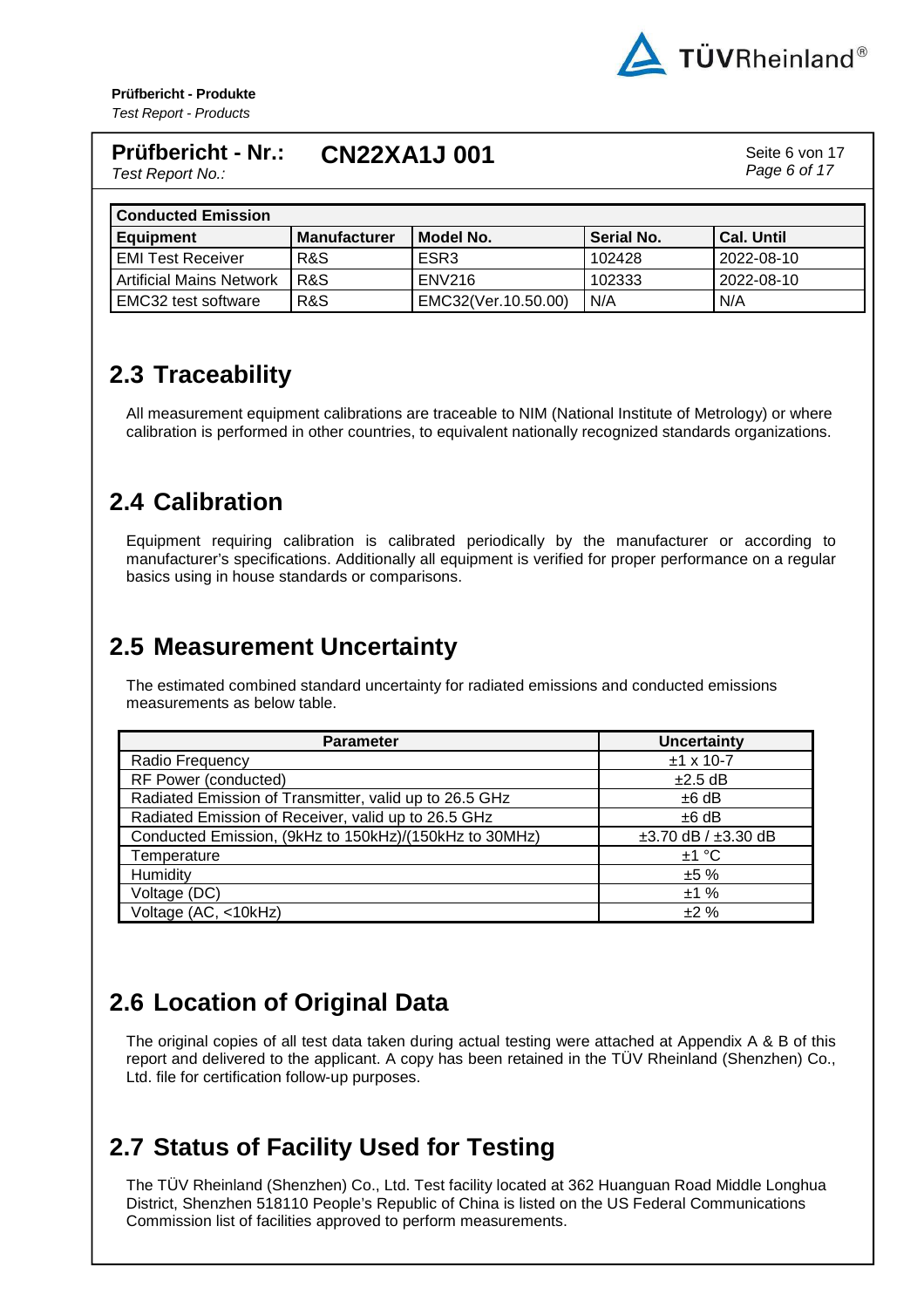

Page 6 of 17

#### **Prüfbericht - Nr.: CN22XA1J 001** Seite 6 von 17

Test Report No.:

| <b>Conducted Emission</b>       |                     |                     |            |                   |
|---------------------------------|---------------------|---------------------|------------|-------------------|
| <b>Equipment</b>                | <b>Manufacturer</b> | Model No.           | Serial No. | <b>Cal. Until</b> |
| <b>EMI Test Receiver</b>        | R&S                 | ESR <sub>3</sub>    | 102428     | 2022-08-10        |
| <b>Artificial Mains Network</b> | R&S                 | <b>ENV216</b>       | 102333     | 2022-08-10        |
| EMC32 test software             | R&S                 | EMC32(Ver.10.50.00) | N/A        | N/A               |

## **2.3 Traceability**

All measurement equipment calibrations are traceable to NIM (National Institute of Metrology) or where calibration is performed in other countries, to equivalent nationally recognized standards organizations.

## **2.4 Calibration**

Equipment requiring calibration is calibrated periodically by the manufacturer or according to manufacturer's specifications. Additionally all equipment is verified for proper performance on a regular basics using in house standards or comparisons.

#### **2.5 Measurement Uncertainty**

The estimated combined standard uncertainty for radiated emissions and conducted emissions measurements as below table.

| <b>Parameter</b>                                       | <b>Uncertainty</b>            |
|--------------------------------------------------------|-------------------------------|
| Radio Frequency                                        | $±1$ x 10-7                   |
| RF Power (conducted)                                   | $\pm 2.5$ dB                  |
| Radiated Emission of Transmitter, valid up to 26.5 GHz | $±6$ dB                       |
| Radiated Emission of Receiver, valid up to 26.5 GHz    | $±6$ dB                       |
| Conducted Emission, (9kHz to 150kHz)/(150kHz to 30MHz) | $\pm 3.70$ dB / $\pm 3.30$ dB |
| Temperature                                            | ±1 °C                         |
| Humidity                                               | ±5%                           |
| Voltage (DC)                                           | ±1%                           |
| Voltage (AC, <10kHz)                                   | ±2%                           |

## **2.6 Location of Original Data**

The original copies of all test data taken during actual testing were attached at Appendix A & B of this report and delivered to the applicant. A copy has been retained in the TÜV Rheinland (Shenzhen) Co., Ltd. file for certification follow-up purposes.

## **2.7 Status of Facility Used for Testing**

The TÜV Rheinland (Shenzhen) Co., Ltd. Test facility located at 362 Huanguan Road Middle Longhua District, Shenzhen 518110 People's Republic of China is listed on the US Federal Communications Commission list of facilities approved to perform measurements.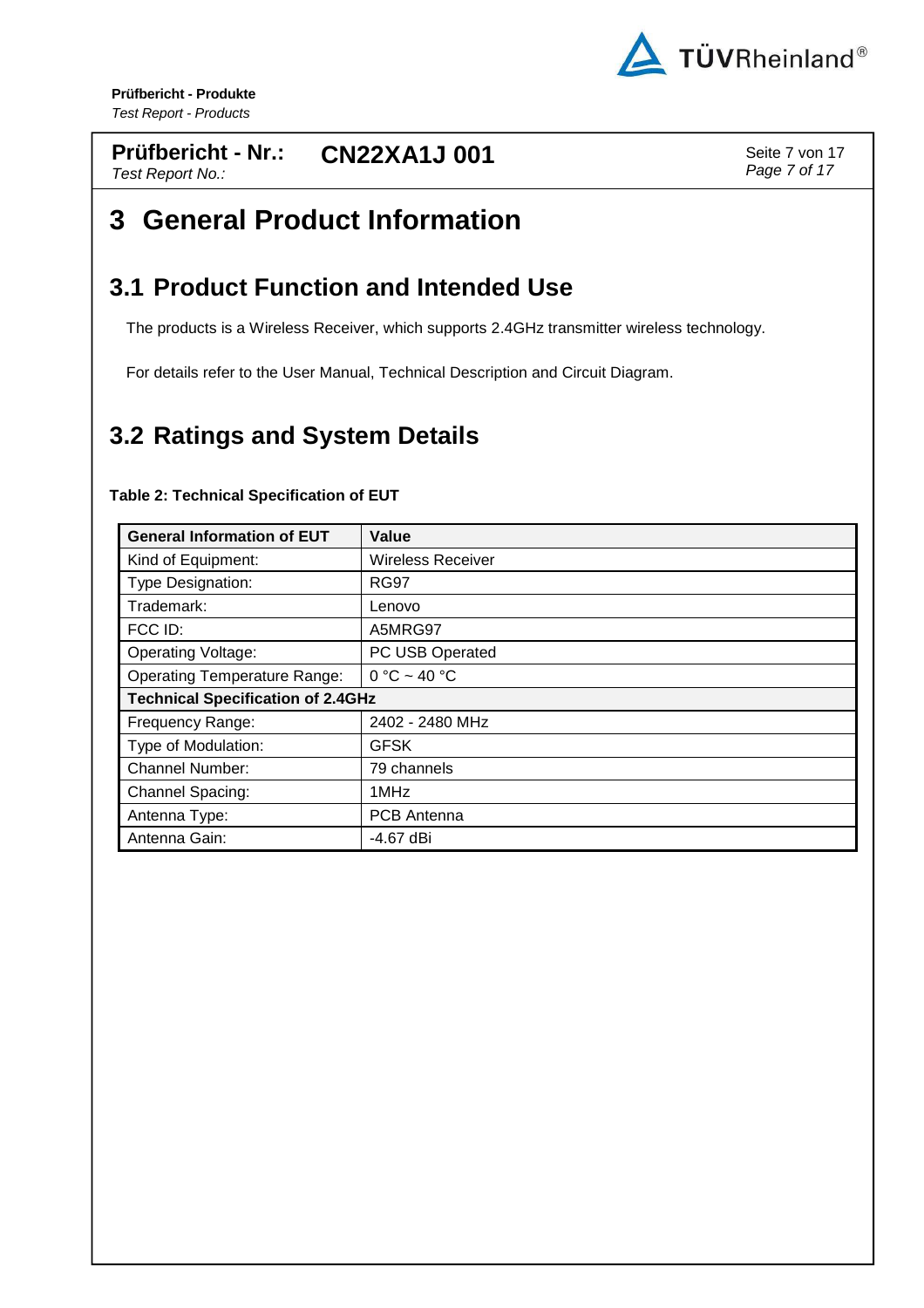

#### **Prüfbericht - Nr.: CN22XA1J 001** Seite 7 von 17 Test Report No.:

Page 7 of 17

# **3 General Product Information**

### **3.1 Product Function and Intended Use**

The products is a Wireless Receiver, which supports 2.4GHz transmitter wireless technology.

For details refer to the User Manual, Technical Description and Circuit Diagram.

## **3.2 Ratings and System Details**

#### **Table 2: Technical Specification of EUT**

| <b>General Information of EUT</b>        | Value                    |
|------------------------------------------|--------------------------|
| Kind of Equipment:                       | <b>Wireless Receiver</b> |
| Type Designation:                        | <b>RG97</b>              |
| Trademark:                               | Lenovo                   |
| FCC ID:                                  | A5MRG97                  |
| <b>Operating Voltage:</b>                | PC USB Operated          |
| <b>Operating Temperature Range:</b>      | $0 °C \sim 40 °C$        |
| <b>Technical Specification of 2.4GHz</b> |                          |
| Frequency Range:                         | 2402 - 2480 MHz          |
| Type of Modulation:                      | <b>GFSK</b>              |
| <b>Channel Number:</b>                   | 79 channels              |
| Channel Spacing:                         | 1MHz                     |
| Antenna Type:                            | <b>PCB</b> Antenna       |
| Antenna Gain:                            | -4.67 dBi                |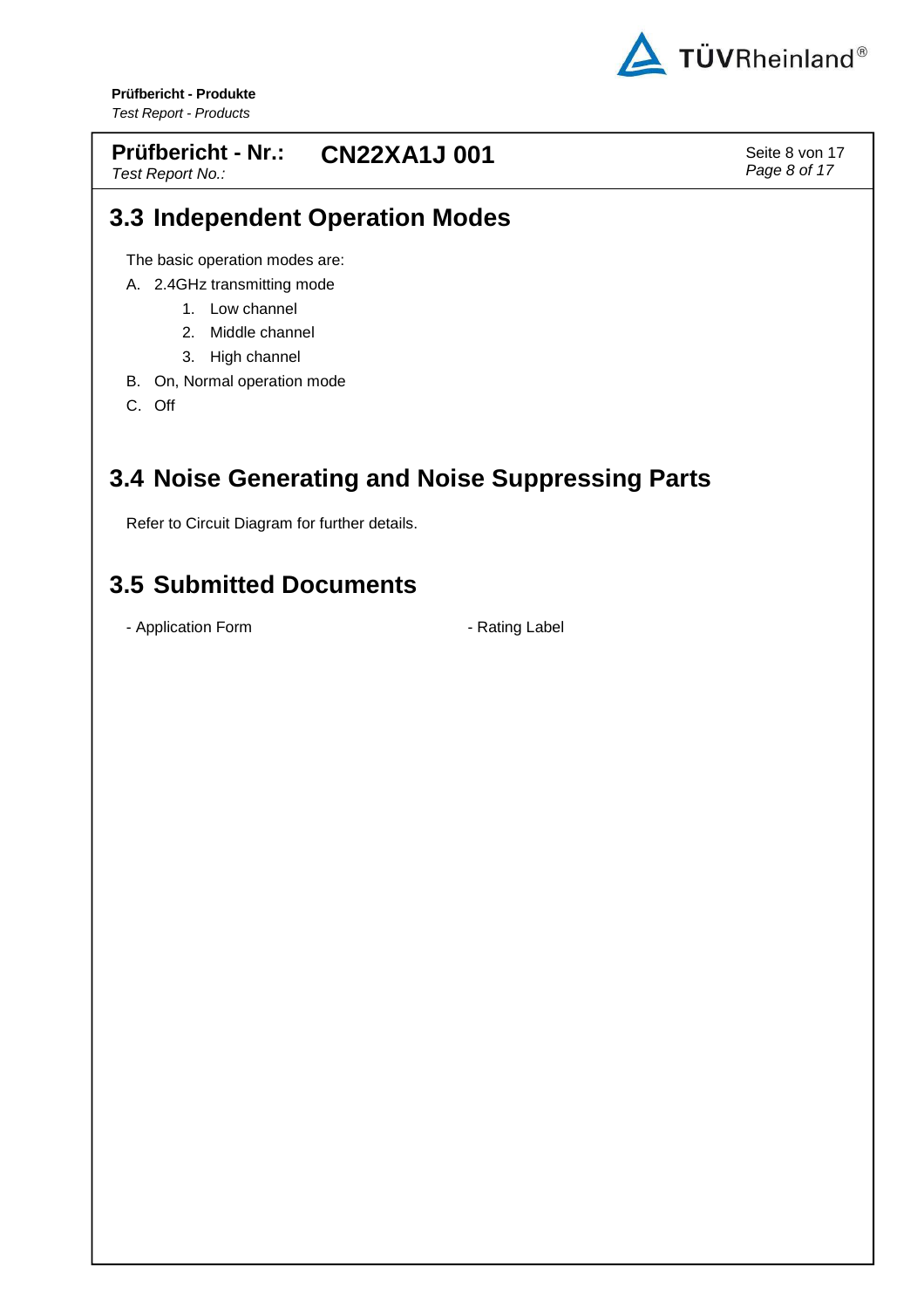

#### **Prüfbericht - Nr.: CN22XA1J 001** Seite 8 von 17

Test Report No.:

Page 8 of 17

#### **3.3 Independent Operation Modes**

The basic operation modes are:

- A. 2.4GHz transmitting mode
	- 1. Low channel
	- 2. Middle channel
	- 3. High channel
- B. On, Normal operation mode
- C. Off

### **3.4 Noise Generating and Noise Suppressing Parts**

Refer to Circuit Diagram for further details.

#### **3.5 Submitted Documents**

- Application Form  $\overline{\phantom{a}}$  - Rating Label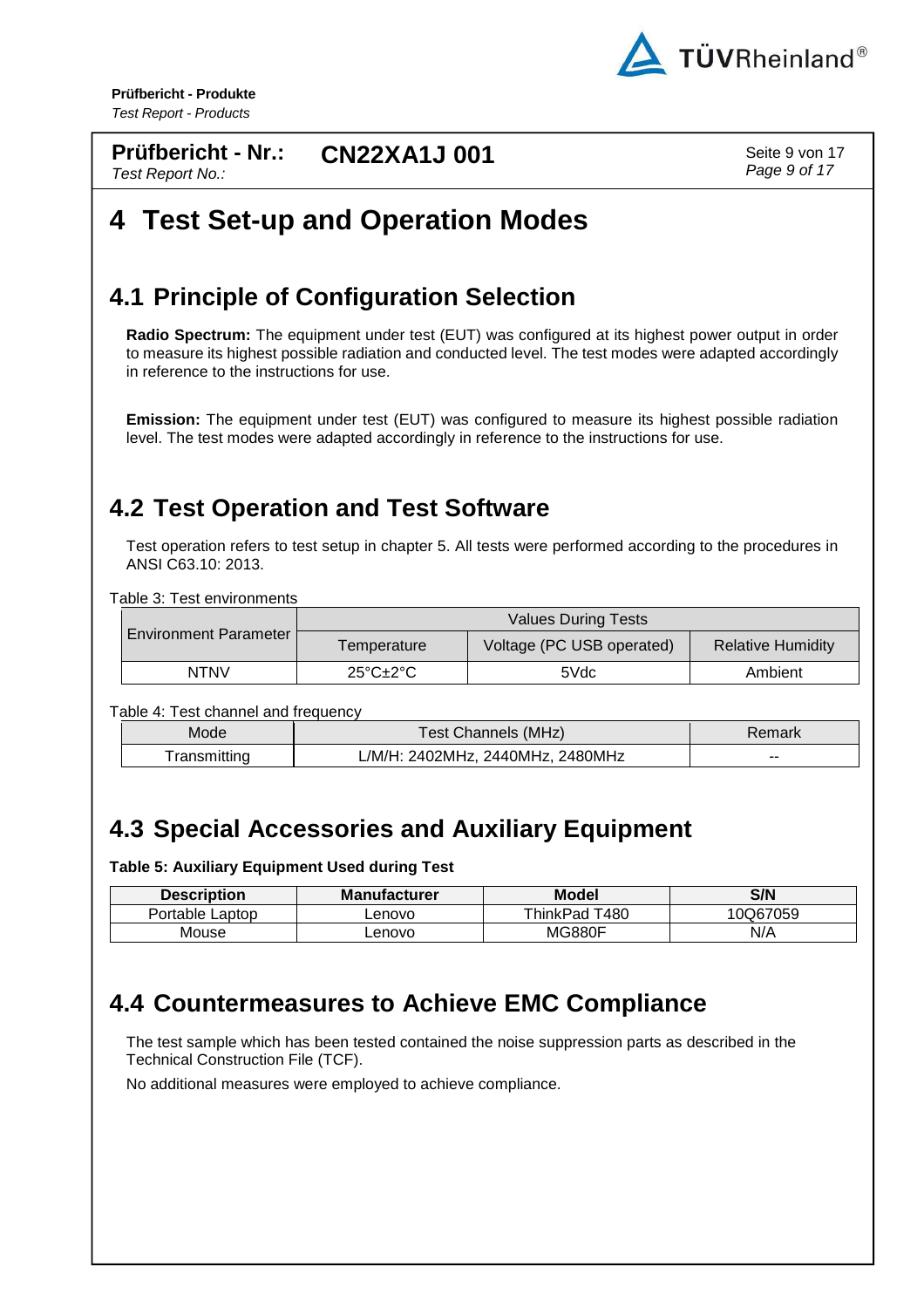

**Prüfbericht - Nr.:** Test Report No.: **CN22XA1J 001** Seite 9 von 17

Page 9 of 17

# **4 Test Set-up and Operation Modes**

#### **4.1 Principle of Configuration Selection**

**Radio Spectrum:** The equipment under test (EUT) was configured at its highest power output in order to measure its highest possible radiation and conducted level. The test modes were adapted accordingly in reference to the instructions for use.

**Emission:** The equipment under test (EUT) was configured to measure its highest possible radiation level. The test modes were adapted accordingly in reference to the instructions for use.

#### **4.2 Test Operation and Test Software**

Test operation refers to test setup in chapter 5. All tests were performed according to the procedures in ANSI C63.10: 2013.

Table 3: Test environments

| <b>Environment Parameter</b> | <b>Values During Tests</b>          |                           |                          |
|------------------------------|-------------------------------------|---------------------------|--------------------------|
|                              | Temperature                         | Voltage (PC USB operated) | <b>Relative Humidity</b> |
| <b>NTNV</b>                  | $25^{\circ}$ C $\pm$ 2 $^{\circ}$ C | 5Vdc                      | Ambient                  |

Table 4: Test channel and frequency

| Mode        | Test Channels (MHz)              | ≺emark |
|-------------|----------------------------------|--------|
| ransmitting | L/M/H: 2402MHz, 2440MHz, 2480MHz | --     |

## **4.3 Special Accessories and Auxiliary Equipment**

**Table 5: Auxiliary Equipment Used during Test** 

| <b>Description</b> | <b>Manufacturer</b> | <b>Model</b>  | S/N      |
|--------------------|---------------------|---------------|----------|
| Portable Laptop    | ∟enovo              | ThinkPad T480 | 10Q67059 |
| Mouse              | _enovo              | <b>MG880F</b> | N/A      |

#### **4.4 Countermeasures to Achieve EMC Compliance**

The test sample which has been tested contained the noise suppression parts as described in the Technical Construction File (TCF).

No additional measures were employed to achieve compliance.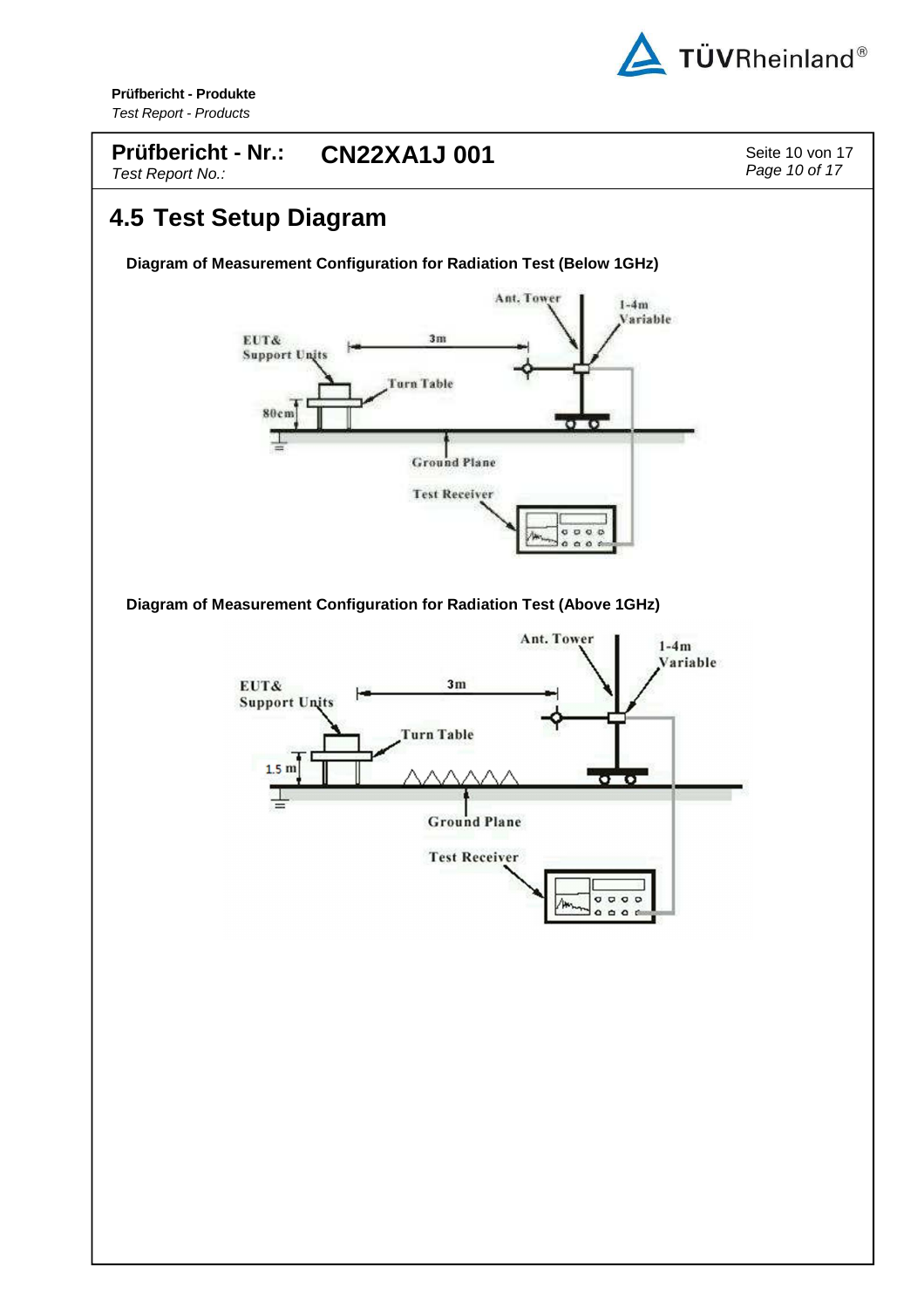

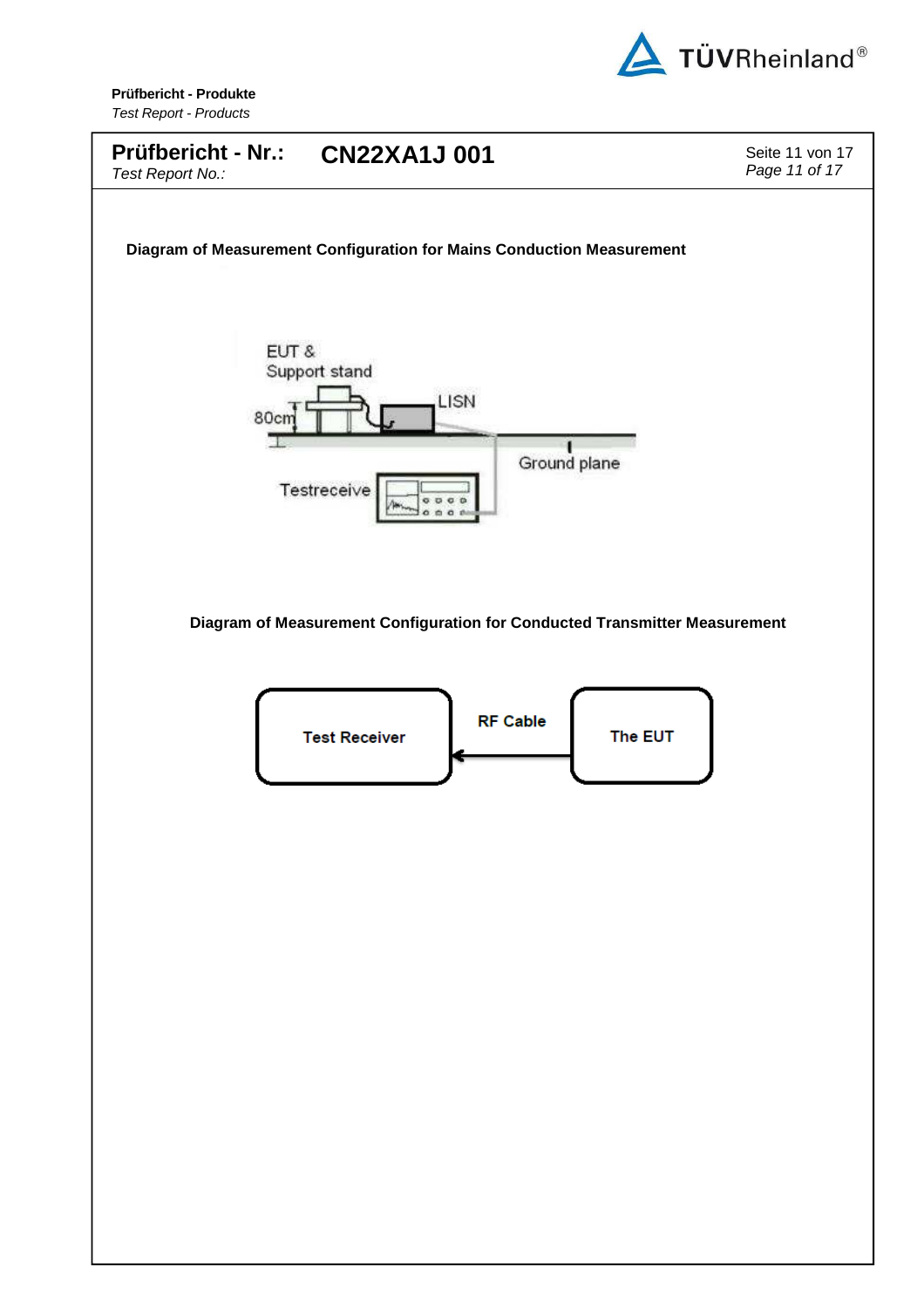

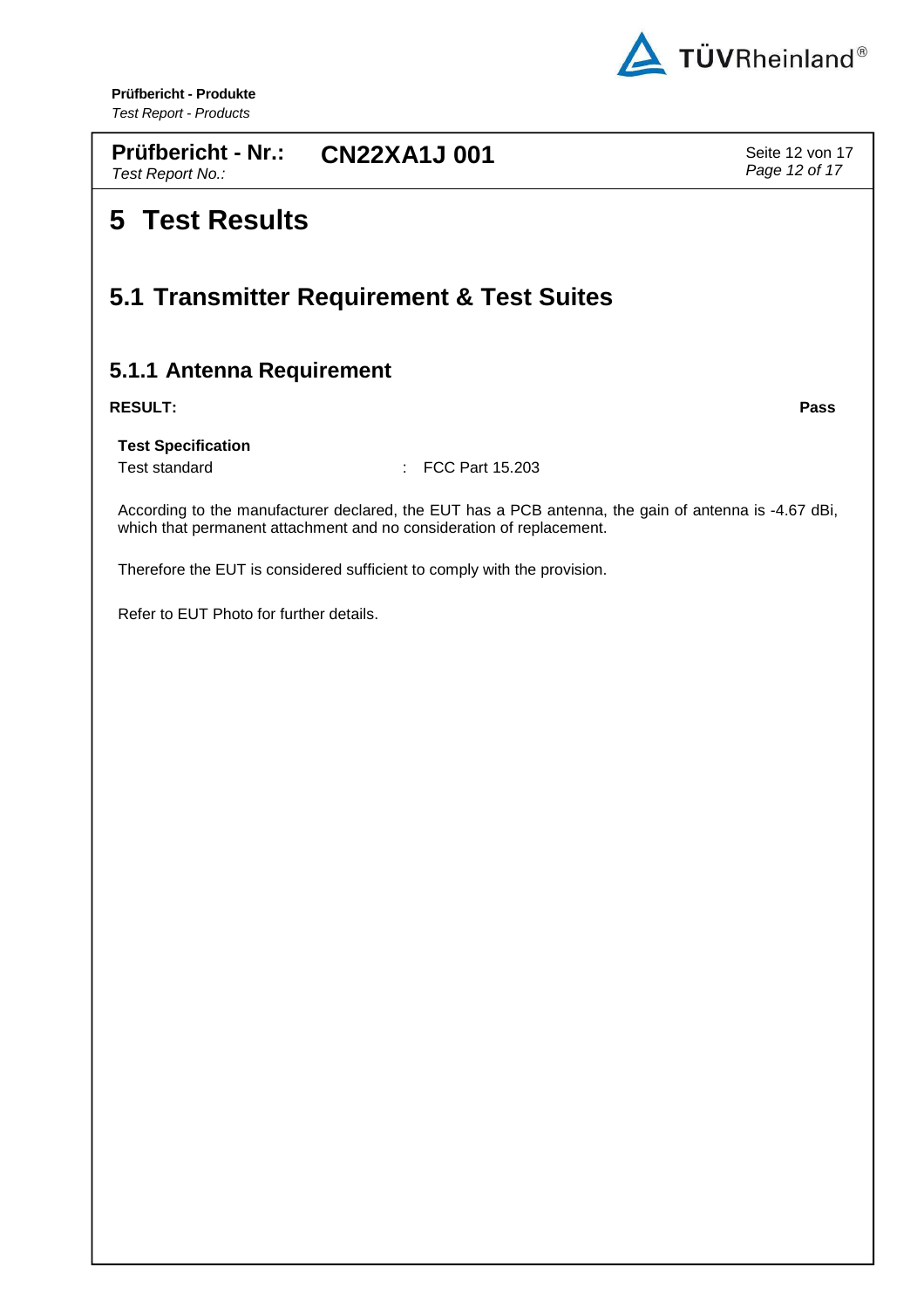

**Prüfbericht - Nr.:** Test Report No.: **CN22XA1J 001** Seite 12 von 17

# **5 Test Results**

#### **5.1 Transmitter Requirement & Test Suites**

#### **5.1.1 Antenna Requirement**

#### **RESULT: Pass**

**Test Specification**

Test standard **: FCC Part 15.203** 

According to the manufacturer declared, the EUT has a PCB antenna, the gain of antenna is -4.67 dBi, which that permanent attachment and no consideration of replacement.

Therefore the EUT is considered sufficient to comply with the provision.

Refer to EUT Photo for further details.

Page 12 of 17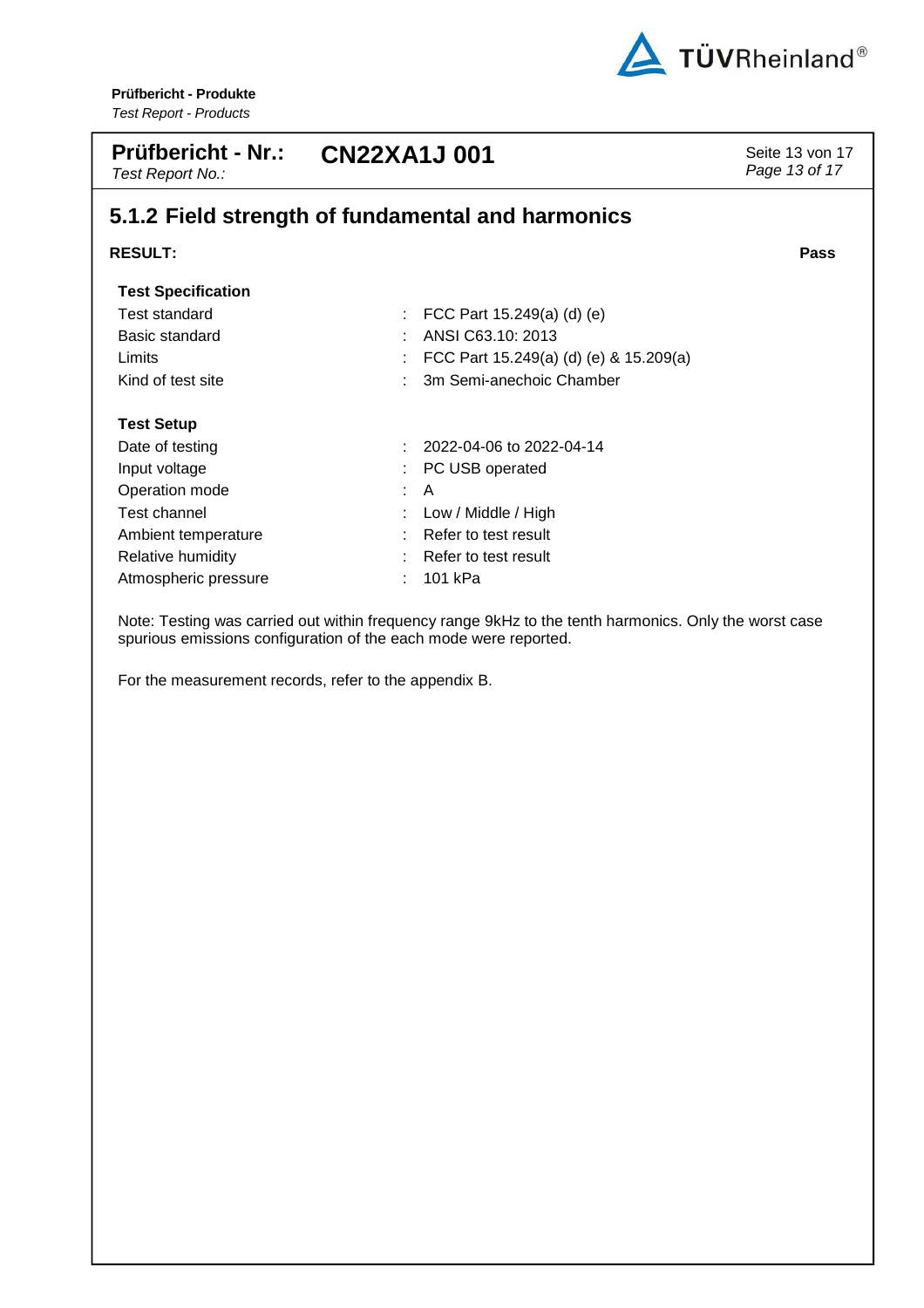

| <b>Prüfbericht - Nr.:</b><br>Test Report No.: | <b>CN22XA1J001</b>                                | Seite 13 von 17<br>Page 13 of 17 |
|-----------------------------------------------|---------------------------------------------------|----------------------------------|
|                                               | 5.1.2 Field strength of fundamental and harmonics |                                  |
| <b>RESULT:</b>                                |                                                   | <b>Pass</b>                      |
| <b>Test Specification</b>                     |                                                   |                                  |
| Test standard                                 | FCC Part $15.249(a)$ (d) (e)<br>÷                 |                                  |
| Basic standard                                | ANSI C63.10: 2013                                 |                                  |
| Limits                                        | FCC Part 15.249(a) (d) (e) & 15.209(a)            |                                  |
| Kind of test site                             | 3m Semi-anechoic Chamber                          |                                  |
| <b>Test Setup</b>                             |                                                   |                                  |
| Date of testing                               | 2022-04-06 to 2022-04-14                          |                                  |
| Input voltage                                 | PC USB operated                                   |                                  |
| Operation mode                                | A                                                 |                                  |
| Test channel                                  | Low / Middle / High                               |                                  |
| Ambient temperature                           | Refer to test result                              |                                  |
| Relative humidity                             | Refer to test result                              |                                  |
| Atmospheric pressure                          | 101 kPa                                           |                                  |

Note: Testing was carried out within frequency range 9kHz to the tenth harmonics. Only the worst case spurious emissions configuration of the each mode were reported.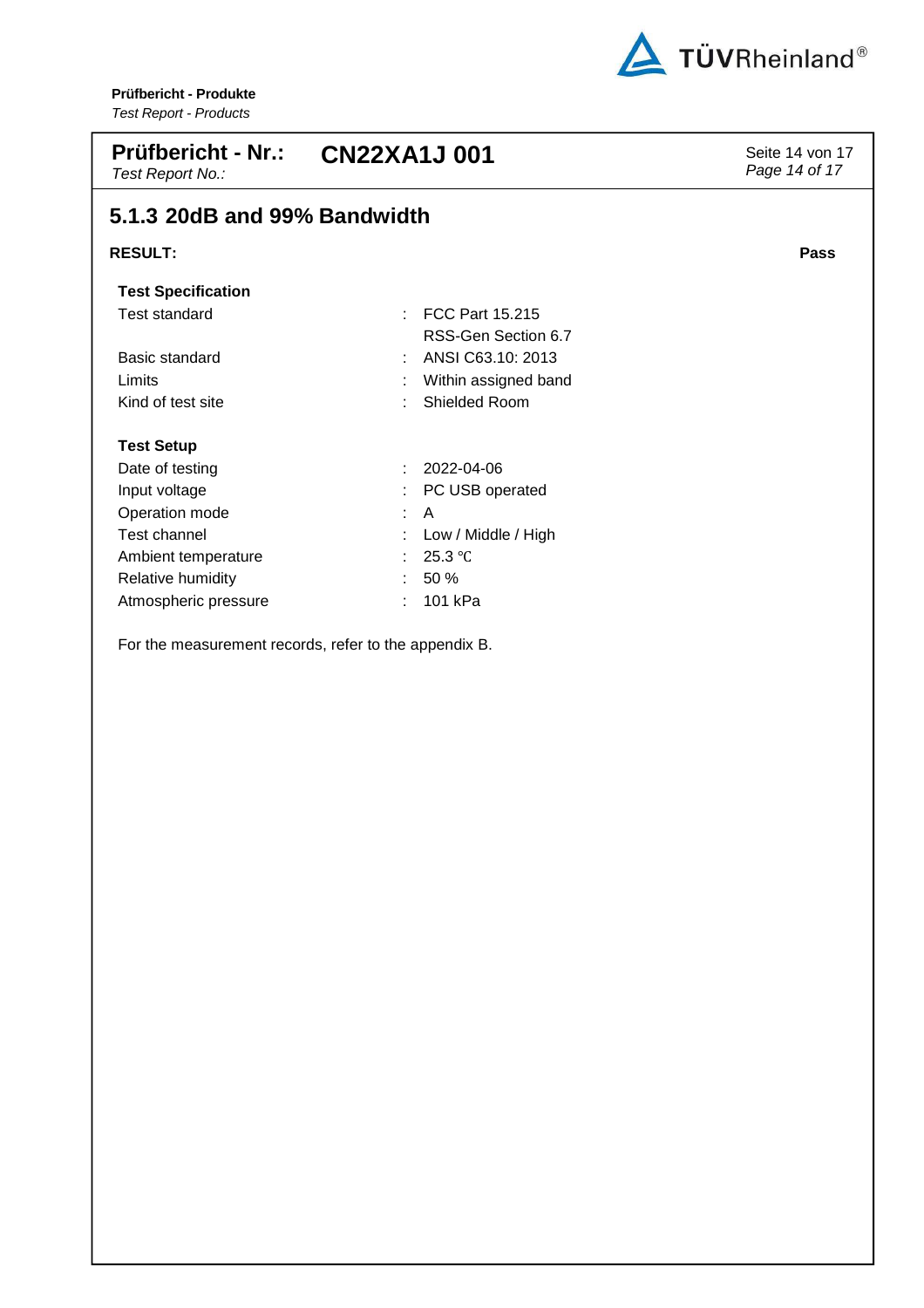

| <b>Prüfbericht - Nr.:</b><br>Test Report No.: | <b>CN22XA1J001</b>                            | Seite 14 von 17<br>Page 14 of 17 |
|-----------------------------------------------|-----------------------------------------------|----------------------------------|
| 5.1.3 20dB and 99% Bandwidth                  |                                               |                                  |
| <b>RESULT:</b>                                |                                               | Pass                             |
| <b>Test Specification</b>                     |                                               |                                  |
| <b>Test standard</b>                          | <b>FCC Part 15.215</b><br>RSS-Gen Section 6.7 |                                  |
| Basic standard                                | ANSI C63.10: 2013                             |                                  |
| Limits                                        | Within assigned band                          |                                  |
| Kind of test site                             | Shielded Room                                 |                                  |
| <b>Test Setup</b>                             |                                               |                                  |
| Date of testing                               | 2022-04-06                                    |                                  |
| Input voltage                                 | PC USB operated                               |                                  |
| Operation mode                                | A<br>÷                                        |                                  |
| Test channel                                  | Low / Middle / High                           |                                  |
| Ambient temperature                           | 25.3 °C                                       |                                  |
| Relative humidity                             | 50 %                                          |                                  |
| Atmospheric pressure                          | 101 kPa                                       |                                  |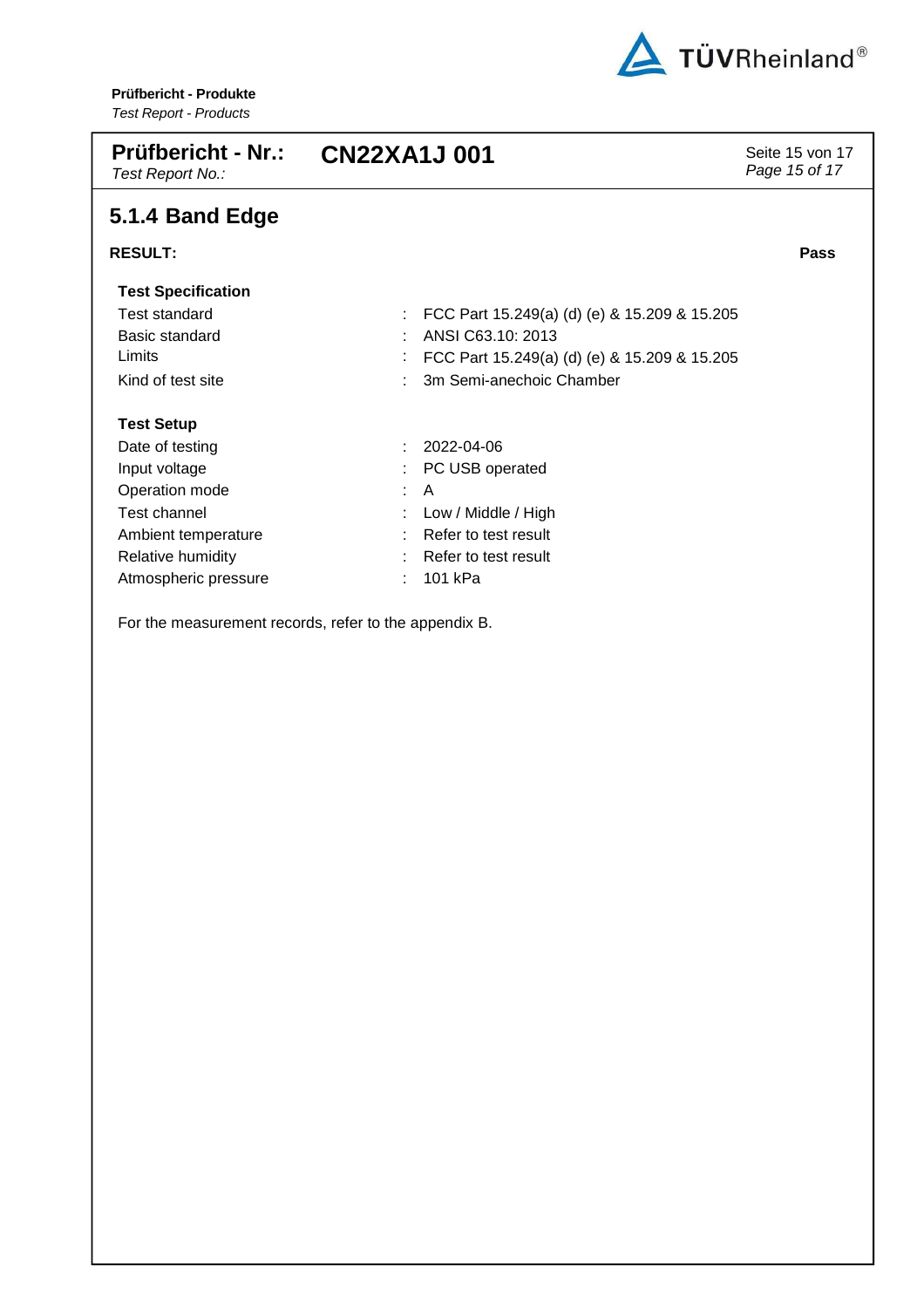

| <b>Prüfbericht - Nr.:</b><br>Test Report No.: | <b>CN22XA1J001</b> |                                              | Seite 15 von 17<br>Page 15 of 17 |
|-----------------------------------------------|--------------------|----------------------------------------------|----------------------------------|
| 5.1.4 Band Edge                               |                    |                                              |                                  |
| <b>RESULT:</b>                                |                    |                                              | Pass                             |
| <b>Test Specification</b>                     |                    |                                              |                                  |
| Test standard                                 |                    | FCC Part 15.249(a) (d) (e) & 15.209 & 15.205 |                                  |
| Basic standard                                |                    | ANSI C63.10: 2013                            |                                  |
| Limits                                        |                    | FCC Part 15.249(a) (d) (e) & 15.209 & 15.205 |                                  |
| Kind of test site                             |                    | 3m Semi-anechoic Chamber                     |                                  |
| <b>Test Setup</b>                             |                    |                                              |                                  |
| Date of testing                               |                    | 2022-04-06                                   |                                  |
| Input voltage                                 |                    | PC USB operated                              |                                  |
| Operation mode                                |                    | A                                            |                                  |
| Test channel                                  |                    | Low / Middle / High                          |                                  |
| Ambient temperature                           |                    | Refer to test result                         |                                  |
| Relative humidity                             |                    | Refer to test result                         |                                  |
| Atmospheric pressure                          |                    | 101 kPa                                      |                                  |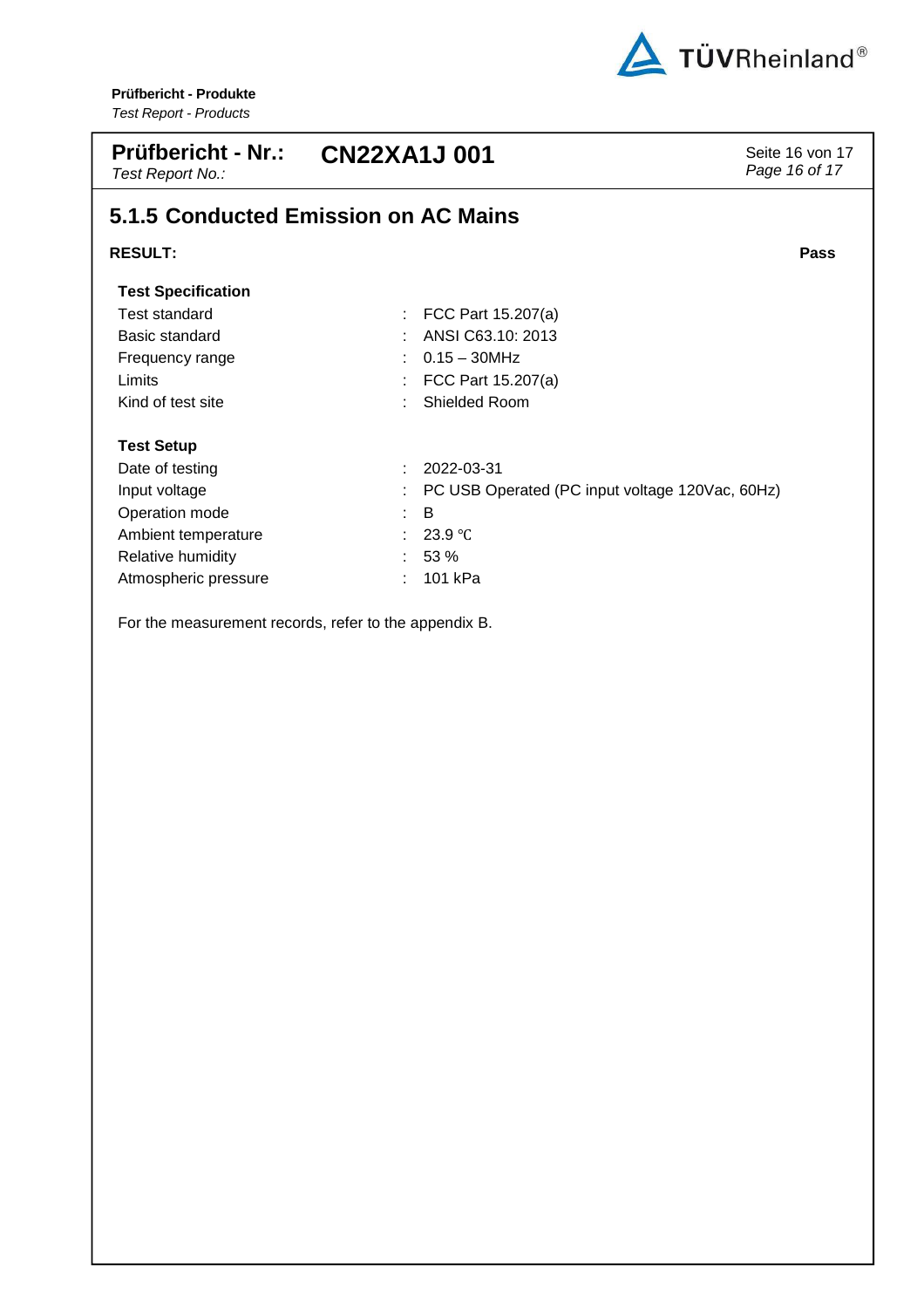

| <b>Prüfbericht - Nr.:</b><br>Test Report No.: | <b>CN22XA1J001</b>                              | Seite 16 von 17<br>Page 16 of 17 |
|-----------------------------------------------|-------------------------------------------------|----------------------------------|
|                                               | 5.1.5 Conducted Emission on AC Mains            |                                  |
| <b>RESULT:</b>                                |                                                 | Pass                             |
| <b>Test Specification</b>                     |                                                 |                                  |
| Test standard                                 | FCC Part 15.207(a)                              |                                  |
| Basic standard                                | ANSI C63.10: 2013                               |                                  |
| Frequency range                               | $0.15 - 30$ MHz                                 |                                  |
| Limits                                        | FCC Part 15.207(a)                              |                                  |
| Kind of test site                             | Shielded Room                                   |                                  |
| <b>Test Setup</b>                             |                                                 |                                  |
| Date of testing                               | 2022-03-31<br>÷.                                |                                  |
| Input voltage                                 | PC USB Operated (PC input voltage 120Vac, 60Hz) |                                  |
| Operation mode                                | B<br>÷.                                         |                                  |
| Ambient temperature                           | 23.9 $\degree$ C                                |                                  |
| Relative humidity                             | 53 %                                            |                                  |
| Atmospheric pressure                          | 101 kPa                                         |                                  |